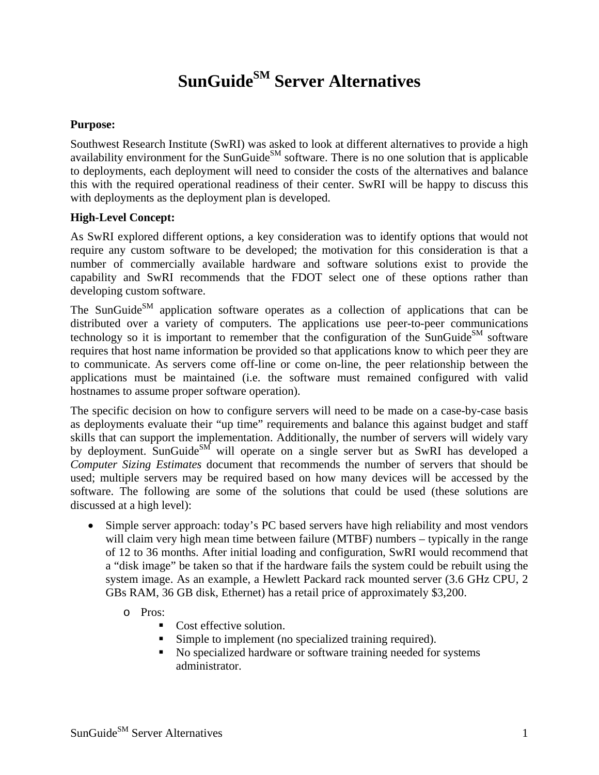## **SunGuide**<sup>SM</sup> Server Alternatives

## **Purpose:**

Southwest Research Institute (SwRI) was asked to look at different alternatives to provide a high availability environment for the SunGuide<sup>SM</sup> software. There is no one solution that is applicable to deployments, each deployment will need to consider the costs of the alternatives and balance this with the required operational readiness of their center. SwRI will be happy to discuss this with deployments as the deployment plan is developed.

## **High-Level Concept:**

As SwRI explored different options, a key consideration was to identify options that would not require any custom software to be developed; the motivation for this consideration is that a number of commercially available hardware and software solutions exist to provide the capability and SwRI recommends that the FDOT select one of these options rather than developing custom software.

The SunGuide<sup>SM</sup> application software operates as a collection of applications that can be distributed over a variety of computers. The applications use peer-to-peer communications technology so it is important to remember that the configuration of the SunGuide<sup>SM</sup> software requires that host name information be provided so that applications know to which peer they are to communicate. As servers come off-line or come on-line, the peer relationship between the applications must be maintained (i.e. the software must remained configured with valid hostnames to assume proper software operation).

The specific decision on how to configure servers will need to be made on a case-by-case basis as deployments evaluate their "up time" requirements and balance this against budget and staff skills that can support the implementation. Additionally, the number of servers will widely vary by deployment. SunGuide<sup>SM</sup> will operate on a single server but as SwRI has developed a *Computer Sizing Estimates* document that recommends the number of servers that should be used; multiple servers may be required based on how many devices will be accessed by the software. The following are some of the solutions that could be used (these solutions are discussed at a high level):

- Simple server approach: today's PC based servers have high reliability and most vendors will claim very high mean time between failure (MTBF) numbers – typically in the range of 12 to 36 months. After initial loading and configuration, SwRI would recommend that a "disk image" be taken so that if the hardware fails the system could be rebuilt using the system image. As an example, a Hewlett Packard rack mounted server (3.6 GHz CPU, 2 GBs RAM, 36 GB disk, Ethernet) has a retail price of approximately \$3,200.
	- o Pros:
		- Cost effective solution.
		- Simple to implement (no specialized training required).
		- No specialized hardware or software training needed for systems administrator.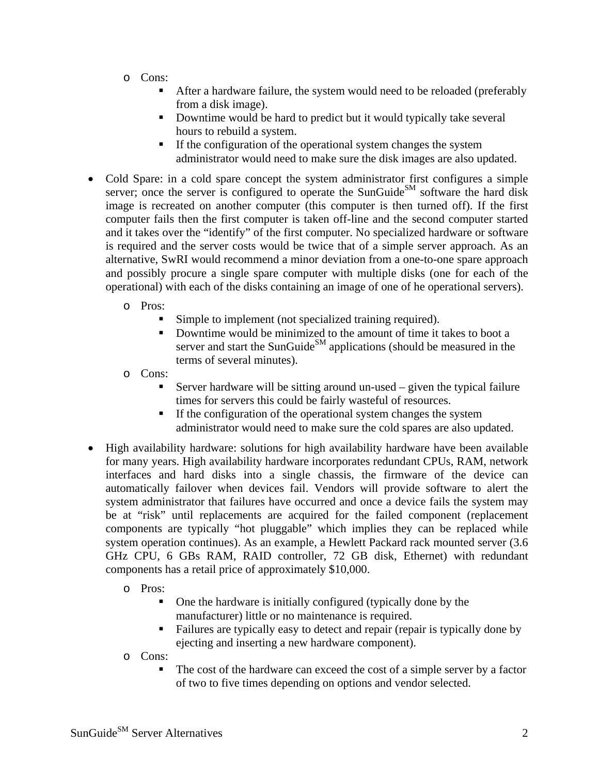- o Cons:
	- After a hardware failure, the system would need to be reloaded (preferably from a disk image).
	- Downtime would be hard to predict but it would typically take several hours to rebuild a system.
	- If the configuration of the operational system changes the system administrator would need to make sure the disk images are also updated.
- Cold Spare: in a cold spare concept the system administrator first configures a simple server; once the server is configured to operate the SunGuide<sup>SM</sup> software the hard disk image is recreated on another computer (this computer is then turned off). If the first computer fails then the first computer is taken off-line and the second computer started and it takes over the "identify" of the first computer. No specialized hardware or software is required and the server costs would be twice that of a simple server approach. As an alternative, SwRI would recommend a minor deviation from a one-to-one spare approach and possibly procure a single spare computer with multiple disks (one for each of the operational) with each of the disks containing an image of one of he operational servers).

o Pros:

- Simple to implement (not specialized training required).
- Downtime would be minimized to the amount of time it takes to boot a server and start the SunGuide $^{SM}$  applications (should be measured in the terms of several minutes).
- o Cons:
	- Server hardware will be sitting around un-used given the typical failure times for servers this could be fairly wasteful of resources.
	- If the configuration of the operational system changes the system administrator would need to make sure the cold spares are also updated.
- High availability hardware: solutions for high availability hardware have been available for many years. High availability hardware incorporates redundant CPUs, RAM, network interfaces and hard disks into a single chassis, the firmware of the device can automatically failover when devices fail. Vendors will provide software to alert the system administrator that failures have occurred and once a device fails the system may be at "risk" until replacements are acquired for the failed component (replacement components are typically "hot pluggable" which implies they can be replaced while system operation continues). As an example, a Hewlett Packard rack mounted server (3.6 GHz CPU, 6 GBs RAM, RAID controller, 72 GB disk, Ethernet) with redundant components has a retail price of approximately \$10,000.
	- o Pros:
		- One the hardware is initially configured (typically done by the manufacturer) little or no maintenance is required.
		- Failures are typically easy to detect and repair (repair is typically done by ejecting and inserting a new hardware component).

o Cons:

 The cost of the hardware can exceed the cost of a simple server by a factor of two to five times depending on options and vendor selected.